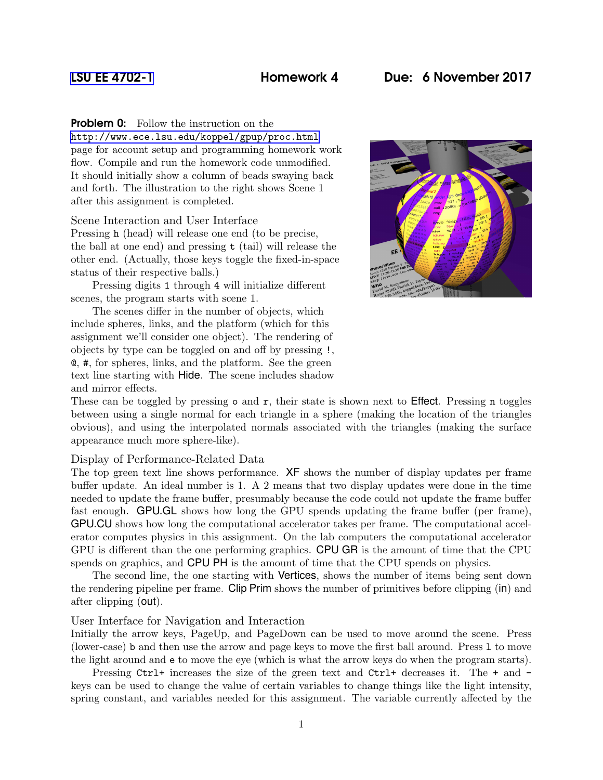# [LSU EE 4702-1](http://www.ece.lsu.edu/koppel/gpup/) Homework 4 Due: 6 November 2017

## **Problem 0:** Follow the instruction on the

<http://www.ece.lsu.edu/koppel/gpup/proc.html> page for account setup and programming homework work flow. Compile and run the homework code unmodified. It should initially show a column of beads swaying back and forth. The illustration to the right shows Scene 1 after this assignment is completed.

## Scene Interaction and User Interface

Pressing h (head) will release one end (to be precise, the ball at one end) and pressing t (tail) will release the other end. (Actually, those keys toggle the fixed-in-space status of their respective balls.)

Pressing digits 1 through 4 will initialize different scenes, the program starts with scene 1.

The scenes differ in the number of objects, which include spheres, links, and the platform (which for this assignment we'll consider one object). The rendering of objects by type can be toggled on and off by pressing !, @, #, for spheres, links, and the platform. See the green text line starting with Hide. The scene includes shadow and mirror effects.



These can be toggled by pressing  $\circ$  and  $\tau$ , their state is shown next to **Effect**. Pressing **n** toggles between using a single normal for each triangle in a sphere (making the location of the triangles obvious), and using the interpolated normals associated with the triangles (making the surface appearance much more sphere-like).

### Display of Performance-Related Data

The top green text line shows performance. XF shows the number of display updates per frame buffer update. An ideal number is 1. A 2 means that two display updates were done in the time needed to update the frame buffer, presumably because the code could not update the frame buffer fast enough. GPU.GL shows how long the GPU spends updating the frame buffer (per frame), GPU.CU shows how long the computational accelerator takes per frame. The computational accelerator computes physics in this assignment. On the lab computers the computational accelerator GPU is different than the one performing graphics. CPU GR is the amount of time that the CPU spends on graphics, and CPU PH is the amount of time that the CPU spends on physics.

The second line, the one starting with Vertices, shows the number of items being sent down the rendering pipeline per frame. Clip Prim shows the number of primitives before clipping (in) and after clipping (out).

### User Interface for Navigation and Interaction

Initially the arrow keys, PageUp, and PageDown can be used to move around the scene. Press (lower-case) b and then use the arrow and page keys to move the first ball around. Press l to move the light around and e to move the eye (which is what the arrow keys do when the program starts).

Pressing Ctrl+ increases the size of the green text and Ctrl+ decreases it. The + and keys can be used to change the value of certain variables to change things like the light intensity, spring constant, and variables needed for this assignment. The variable currently affected by the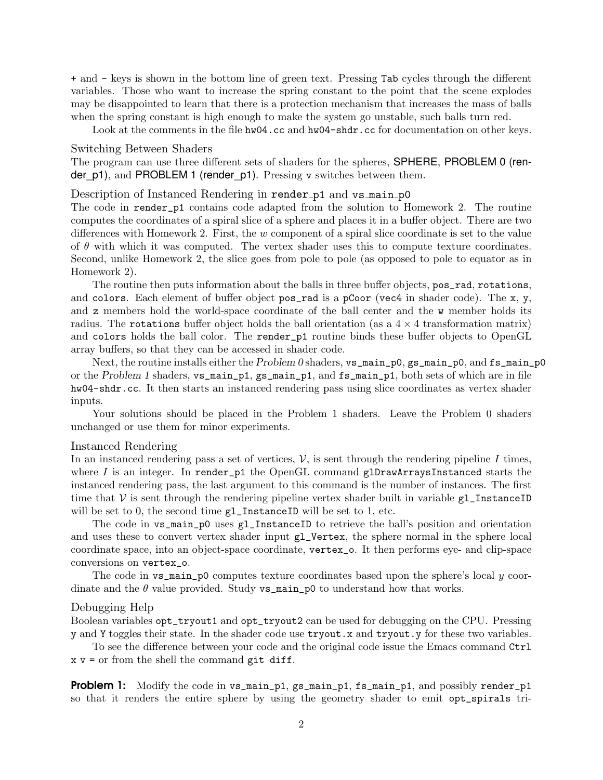+ and - keys is shown in the bottom line of green text. Pressing Tab cycles through the different variables. Those who want to increase the spring constant to the point that the scene explodes may be disappointed to learn that there is a protection mechanism that increases the mass of balls when the spring constant is high enough to make the system go unstable, such balls turn red.

Look at the comments in the file hw04.cc and hw04-shdr.cc for documentation on other keys.

#### Switching Between Shaders

The program can use three different sets of shaders for the spheres, SPHERE, PROBLEM 0 (render  $p1$ ), and PROBLEM 1 (render  $p1$ ). Pressing v switches between them.

## Description of Instanced Rendering in render p1 and vs main p0

The code in render\_p1 contains code adapted from the solution to Homework 2. The routine computes the coordinates of a spiral slice of a sphere and places it in a buffer object. There are two differences with Homework 2. First, the w component of a spiral slice coordinate is set to the value of  $\theta$  with which it was computed. The vertex shader uses this to compute texture coordinates. Second, unlike Homework 2, the slice goes from pole to pole (as opposed to pole to equator as in Homework 2).

The routine then puts information about the balls in three buffer objects, pos\_rad, rotations, and colors. Each element of buffer object pos\_rad is a pCoor (vec4 in shader code). The  $x, y$ , and z members hold the world-space coordinate of the ball center and the w member holds its radius. The rotations buffer object holds the ball orientation (as a  $4 \times 4$  transformation matrix) and colors holds the ball color. The render\_p1 routine binds these buffer objects to OpenGL array buffers, so that they can be accessed in shader code.

Next, the routine installs either the Problem 0 shaders,  $vs\_main_p0$ ,  $gs\_main_p0$ , and  $fs\_main_p0$ or the Problem 1 shaders, vs\_main\_p1, gs\_main\_p1, and fs\_main\_p1, both sets of which are in file hw04-shdr.cc. It then starts an instanced rendering pass using slice coordinates as vertex shader inputs.

Your solutions should be placed in the Problem 1 shaders. Leave the Problem 0 shaders unchanged or use them for minor experiments.

### Instanced Rendering

In an instanced rendering pass a set of vertices,  $V$ , is sent through the rendering pipeline I times, where I is an integer. In render\_p1 the OpenGL command glDrawArraysInstanced starts the instanced rendering pass, the last argument to this command is the number of instances. The first time that  $\mathcal V$  is sent through the rendering pipeline vertex shader built in variable  $g_1$  InstanceID will be set to 0, the second time  $gl\_InstanceID$  will be set to 1, etc.

The code in vs\_main\_p0 uses gl\_InstanceID to retrieve the ball's position and orientation and uses these to convert vertex shader input gl\_Vertex, the sphere normal in the sphere local coordinate space, into an object-space coordinate, vertex\_o. It then performs eye- and clip-space conversions on vertex\_o.

The code in  $\mathbf{vs\_main\_p0}$  computes texture coordinates based upon the sphere's local  $\eta$  coordinate and the  $\theta$  value provided. Study **vs\_main\_p0** to understand how that works.

#### Debugging Help

Boolean variables opt\_tryout1 and opt\_tryout2 can be used for debugging on the CPU. Pressing y and Y toggles their state. In the shader code use tryout.x and tryout.y for these two variables.

To see the difference between your code and the original code issue the Emacs command Ctrl  $x \vee y =$  or from the shell the command git diff.

**Problem 1:** Modify the code in vs\_main\_p1, gs\_main\_p1, fs\_main\_p1, and possibly render\_p1 so that it renders the entire sphere by using the geometry shader to emit opt\_spirals tri